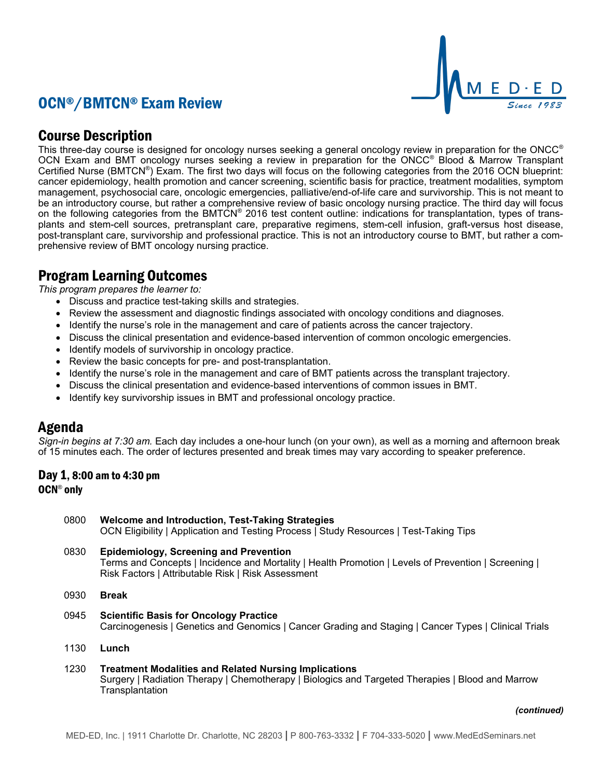# OCN®/BMTCN® Exam Review



## Course Description

This three-day course is designed for oncology nurses seeking a general oncology review in preparation for the ONCC<sup>®</sup> OCN Exam and BMT oncology nurses seeking a review in preparation for the ONCC<sup>®</sup> Blood & Marrow Transplant Certified Nurse (BMTCN®) Exam. The first two days will focus on the following categories from the 2016 OCN blueprint: cancer epidemiology, health promotion and cancer screening, scientific basis for practice, treatment modalities, symptom management, psychosocial care, oncologic emergencies, palliative/end-of-life care and survivorship. This is not meant to be an introductory course, but rather a comprehensive review of basic oncology nursing practice. The third day will focus on the following categories from the BMTCN® 2016 test content outline: indications for transplantation, types of transplants and stem-cell sources, pretransplant care, preparative regimens, stem-cell infusion, graft-versus host disease, post-transplant care, survivorship and professional practice. This is not an introductory course to BMT, but rather a comprehensive review of BMT oncology nursing practice.

## Program Learning Outcomes

*This program prepares the learner to:*

- Discuss and practice test-taking skills and strategies.
- Review the assessment and diagnostic findings associated with oncology conditions and diagnoses.
- Identify the nurse's role in the management and care of patients across the cancer trajectory.
- Discuss the clinical presentation and evidence-based intervention of common oncologic emergencies.
- Identify models of survivorship in oncology practice.
- Review the basic concepts for pre- and post-transplantation.
- Identify the nurse's role in the management and care of BMT patients across the transplant trajectory.
- Discuss the clinical presentation and evidence-based interventions of common issues in BMT.
- Identify key survivorship issues in BMT and professional oncology practice.

## Agenda

*Sign-in begins at 7:30 am.* Each day includes a one-hour lunch (on your own), as well as a morning and afternoon break of 15 minutes each. The order of lectures presented and break times may vary according to speaker preference.

## Day 1, 8:00 am to 4:30 pm OCN<sup>®</sup> only

| 0800 | Welcome and Introduction, Test-Taking Strategies<br>OCN Eligibility   Application and Testing Process   Study Resources   Test-Taking Tips                                                                  |
|------|-------------------------------------------------------------------------------------------------------------------------------------------------------------------------------------------------------------|
| 0830 | <b>Epidemiology, Screening and Prevention</b><br>Terms and Concepts   Incidence and Mortality   Health Promotion   Levels of Prevention   Screening  <br>Risk Factors   Attributable Risk   Risk Assessment |
| 0930 | <b>Break</b>                                                                                                                                                                                                |
| 0945 | <b>Scientific Basis for Oncology Practice</b><br>Carcinogenesis   Genetics and Genomics   Cancer Grading and Staging   Cancer Types   Clinical Trials                                                       |
| 1130 | Lunch                                                                                                                                                                                                       |
| 1230 | <b>Treatment Modalities and Related Nursing Implications</b><br>Surgery   Radiation Therapy   Chemotherapy   Biologics and Targeted Therapies   Blood and Marrow<br>Transplantation                         |

#### *(continued)*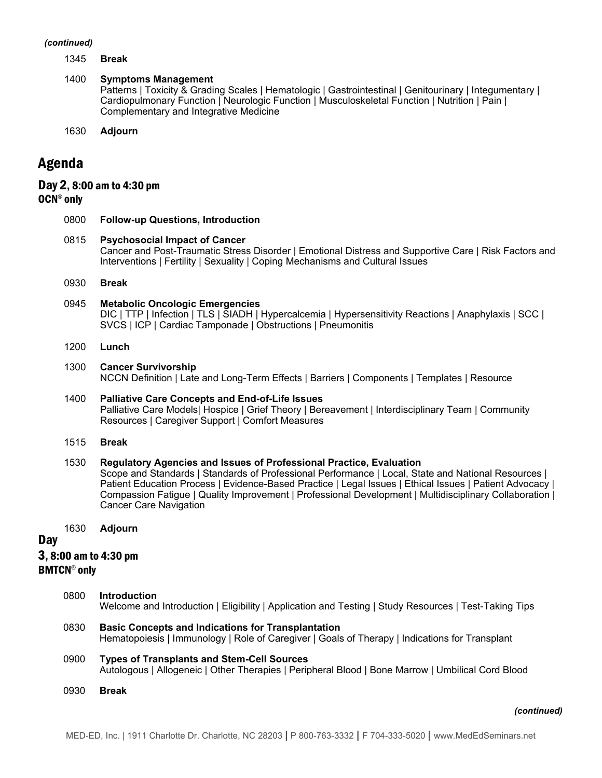#### *(continued)*

1345 **Break**

#### 1400 **Symptoms Management**

Patterns | Toxicity & Grading Scales | Hematologic | Gastrointestinal | Genitourinary | Integumentary | Cardiopulmonary Function | Neurologic Function | Musculoskeletal Function | Nutrition | Pain | Complementary and Integrative Medicine

1630 **Adjourn**

## Agenda

## Day 2, 8:00 am to 4:30 pm OCN<sup>®</sup> only

# 0800 **Follow-up Questions, Introduction**

- 0815 **Psychosocial Impact of Cancer** Cancer and Post-Traumatic Stress Disorder | Emotional Distress and Supportive Care | Risk Factors and Interventions | Fertility | Sexuality | Coping Mechanisms and Cultural Issues
- 0930 **Break**

#### 0945 **Metabolic Oncologic Emergencies**

DIC | TTP | Infection | TLS | SIADH | Hypercalcemia | Hypersensitivity Reactions | Anaphylaxis | SCC | SVCS | ICP | Cardiac Tamponade | Obstructions | Pneumonitis

#### 1200 **Lunch**

#### 1300 **Cancer Survivorship**

NCCN Definition | Late and Long-Term Effects | Barriers | Components | Templates | Resource

#### 1400 **Palliative Care Concepts and End-of-Life Issues** Palliative Care Models| Hospice | Grief Theory | Bereavement | Interdisciplinary Team | Community Resources | Caregiver Support | Comfort Measures

#### 1515 **Break**

#### 1530 **Regulatory Agencies and Issues of Professional Practice, Evaluation**

Scope and Standards | Standards of Professional Performance | Local, State and National Resources | Patient Education Process | Evidence-Based Practice | Legal Issues | Ethical Issues | Patient Advocacy | Compassion Fatigue | Quality Improvement | Professional Development | Multidisciplinary Collaboration | Cancer Care Navigation

1630 **Adjourn**

### **Day**

3, 8:00 am to 4:30 pm

#### **BMTCN<sup>®</sup>** only

- 0800 **Introduction** Welcome and Introduction | Eligibility | Application and Testing | Study Resources | Test-Taking Tips
- 0830 **Basic Concepts and Indications for Transplantation** Hematopoiesis | Immunology | Role of Caregiver | Goals of Therapy | Indications for Transplant
- 0900 **Types of Transplants and Stem-Cell Sources** Autologous | Allogeneic | Other Therapies | Peripheral Blood | Bone Marrow | Umbilical Cord Blood
- 0930 **Break**

#### *(continued)*